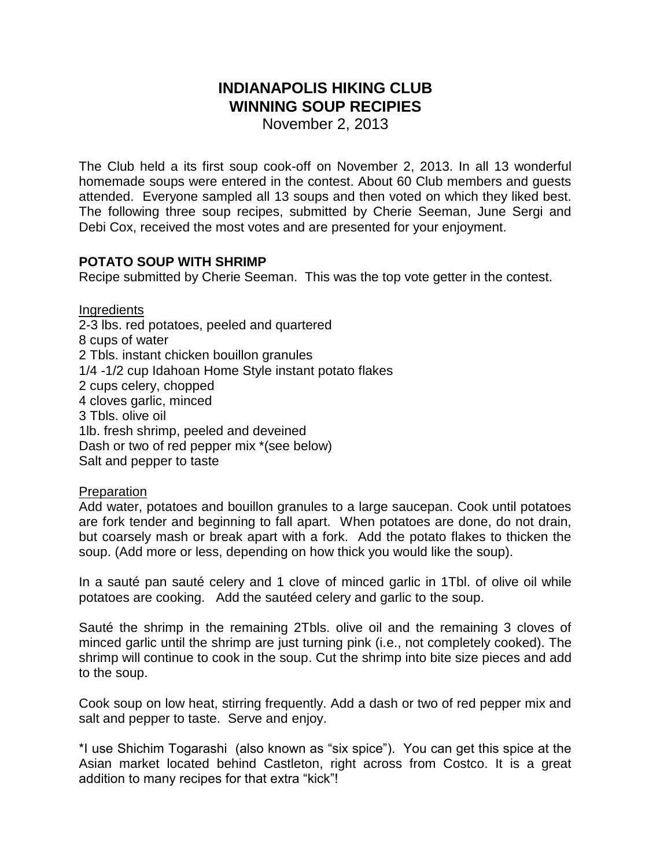# **INDIANAPOLIS HIKING CLUB WINNING SOUP RECIPIES**

November 2, 2013

The Club held a its first soup cook-off on November 2, 2013. In all 13 wonderful homemade soups were entered in the contest. About 60 Club members and guests attended. Everyone sampled all 13 soups and then voted on which they liked best. The following three soup recipes, submitted by Cherie Seeman, June Sergi and Debi Cox, received the most votes and are presented for your enjoyment.

## **POTATO SOUP WITH SHRIMP**

Recipe submitted by Cherie Seeman. This was the top vote getter in the contest.

**Ingredients** 2-3 lbs. red potatoes, peeled and quartered 8 cups of water 2 Tbls. instant chicken bouillon granules 1/4 -1/2 cup Idahoan Home Style instant potato flakes 2 cups celery, chopped 4 cloves garlic, minced 3 Tbls. olive oil 1lb. fresh shrimp, peeled and deveined Dash or two of red pepper mix \*(see below) Salt and pepper to taste

## Preparation

Add water, potatoes and bouillon granules to a large saucepan. Cook until potatoes are fork tender and beginning to fall apart. When potatoes are done, do not drain, but coarsely mash or break apart with a fork. Add the potato flakes to thicken the soup. (Add more or less, depending on how thick you would like the soup).

In a sauté pan sauté celery and 1 clove of minced garlic in 1Tbl. of olive oil while potatoes are cooking. Add the sautéed celery and garlic to the soup.

Sauté the shrimp in the remaining 2Tbls. olive oil and the remaining 3 cloves of minced garlic until the shrimp are just turning pink (i.e., not completely cooked). The shrimp will continue to cook in the soup. Cut the shrimp into bite size pieces and add to the soup.

Cook soup on low heat, stirring frequently. Add a dash or two of red pepper mix and salt and pepper to taste. Serve and enjoy.

\*I use Shichim Togarashi (also known as "six spice"). You can get this spice at the Asian market located behind Castleton, right across from Costco. It is a great addition to many recipes for that extra "kick"!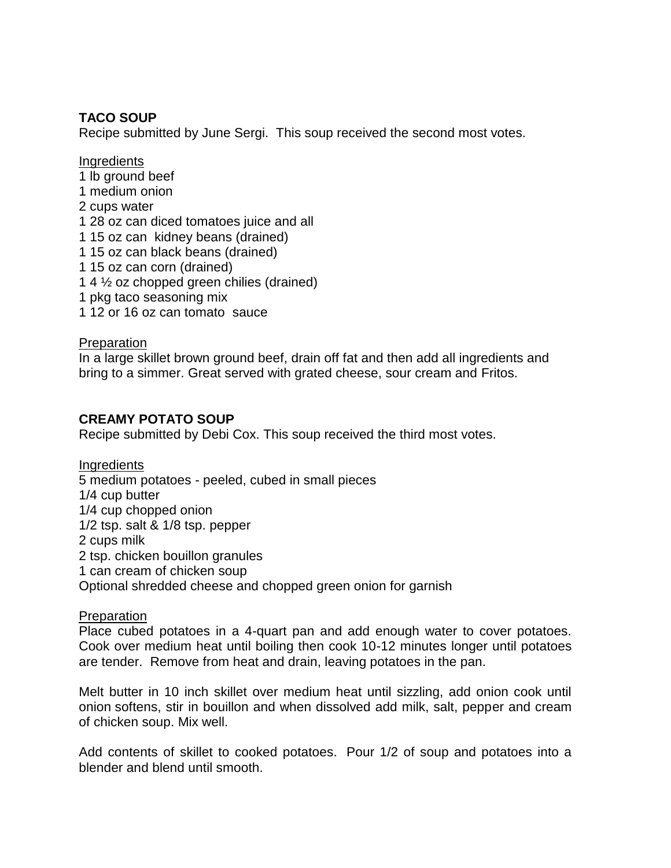# **TACO SOUP**

Recipe submitted by June Sergi. This soup received the second most votes.

**Ingredients** 

- 1 lb ground beef
- 1 medium onion
- 2 cups water
- 1 28 oz can diced tomatoes juice and all
- 1 15 oz can kidney beans (drained)
- 1 15 oz can black beans (drained)
- 1 15 oz can corn (drained)
- 1 4 ½ oz chopped green chilies (drained)
- 1 pkg taco seasoning mix
- 1 12 or 16 oz can tomato sauce

## Preparation

In a large skillet brown ground beef, drain off fat and then add all ingredients and bring to a simmer. Great served with grated cheese, sour cream and Fritos.

## **CREAMY POTATO SOUP**

Recipe submitted by Debi Cox. This soup received the third most votes.

**Ingredients** 5 medium potatoes - peeled, cubed in small pieces 1/4 cup butter 1/4 cup chopped onion 1/2 tsp. salt & 1/8 tsp. pepper 2 cups milk 2 tsp. chicken bouillon granules 1 can cream of chicken soup Optional shredded cheese and chopped green onion for garnish

#### **Preparation**

Place cubed potatoes in a 4-quart pan and add enough water to cover potatoes. Cook over medium heat until boiling then cook 10-12 minutes longer until potatoes are tender. Remove from heat and drain, leaving potatoes in the pan.

Melt butter in 10 inch skillet over medium heat until sizzling, add onion cook until onion softens, stir in bouillon and when dissolved add milk, salt, pepper and cream of chicken soup. Mix well.

Add contents of skillet to cooked potatoes. Pour 1/2 of soup and potatoes into a blender and blend until smooth.